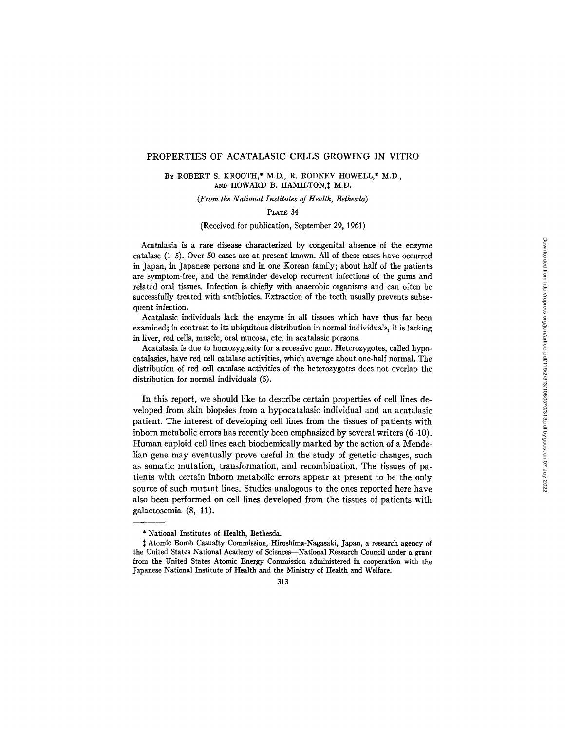## PROPERTIES OF ACATALASIC CELLS GROWING IN VITRO

## BY ROBERT S. KROOTH,\* M.D., R. RODNEY HOWELL,\* M.D., AND HOWARD B. HAMILTON.<sup>†</sup> M.D.

*(From the National Institutes of Health, Bethesda)* 

# PLATE 34

## (Received for publication, September 29, 1961)

Acatalasia is a rare disease characterized by congenital absence of the enzyme catalase (1-5). Over 50 cases are at present known. All of these cases have occurred in Japan, in Japanese persons and in one Korean family; about half of the patients are symptom-free, and the remainder develop recurrent infections of the gums and related oral tissues. Infection is chiefly with anaerobic organisms and can often be successfully treated with antibiotics. Extraction of the teeth usually prevents subsequent infection.

Acatalasic individuals lack the enzyme in all tissues which have thus far been examined; in contrast to its ubiquitous distribution in normal individuals, it is lacking in liver, red cells, muscle, oral mucosa, etc. in acatalasic persons.

Acatalasia is due to homozygosity for a recessive gene. Heterozygotes, called hypocatalasics, have red cell catalase activities, which average about one-half normal. The distribution of red cell catalase activities of the heterozygotes does not overlap the distribution for normal individuals (5).

In this report, we should like to describe certain properties of cell lines developed from skin biopsies from a hypocatalasic individual and an acatalasic patient. The interest of developing cell lines from the tissues of patients with inborn metabolic errors has recently been emphasized by several writers (6-10). Human euploid cell lines each biochemically marked by the action of a Mendelian gene may eventually prove useful in the study of genetic changes, such as somatic mutation, transformation, and recombination. The tissues of patients with certain inborn metabolic errors appear at present to be the only source of such mutant lines. Studies analogous to the ones reported here have also been performed on cell lines developed from the tissues of patients with galactosemia (8, 11).

<sup>\*</sup> National Institutes of Health, Bethesda.

<sup>:~</sup> Atomic Bomb Casualty Commission, Hiroshima-Nagasaki, Japan, a research agency of the United States National Academy of Sciences--National Research Council under a grant from the United States Atomic Energy Commission administered in cooperation with the Japanese National Institute of Health and the Ministry of Health and Welfare.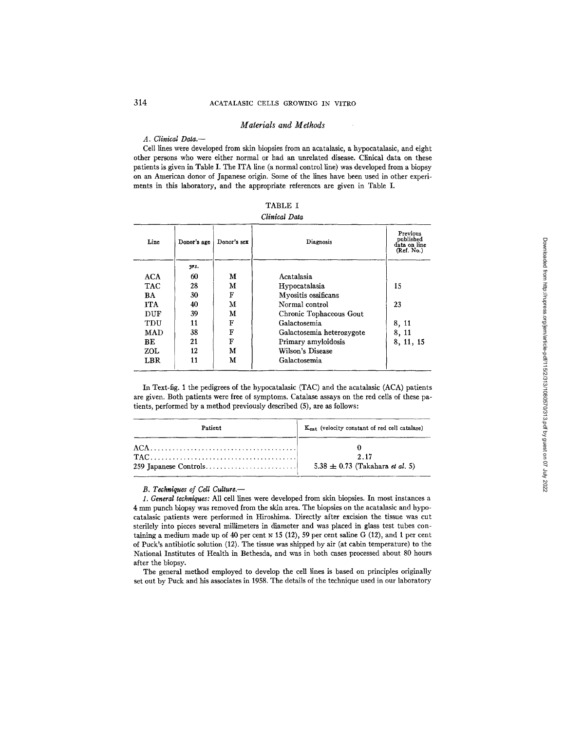## *Materials and Methods*

### *A. Clinical Data.-*

Cell lines were developed from skin biopsies from an acatalasic, a hypocatalasic, and eight other persons who were either normal or had an unrelated disease. Clinical data on these patients is given in Table I. The ITA line (a normal control line) was developed from a biopsy on an American donor of Japanese origin. Some of the fines have been used in other experiments in this laboratory, and the appropriate references are given in Table I.

| ARLI |  |
|------|--|
|------|--|

#### *Clinical Data*

| Line       | Donor's age | Donor's sex | Diagnosis                 | Previous<br>published<br>data on line<br>(Ref. No.) |
|------------|-------------|-------------|---------------------------|-----------------------------------------------------|
|            | yrs.        |             |                           |                                                     |
| ACA.       | 60          | м           | Acatalasia                |                                                     |
| TAC.       | 28          | м           | Hypocatalasia             | 15                                                  |
| BA.        | 30          | F           | Myositis ossificans       |                                                     |
| ITA.       | 40          | м           | Normal control            | 23                                                  |
| DUF        | 39          | м           | Chronic Tophaceous Gout   |                                                     |
| TDU        | 11          | F           | Galactosemia.             | 8, 11                                               |
| <b>MAD</b> | 38          | F           | Galactosemia heterozygote | 8, 11                                               |
| BE.        | 21          | F           | Primary amyloidosis       | 8, 11, 15                                           |
| ZOL        | 12          | М           | Wilson's Disease          |                                                     |
| LBR        | 11          | м           | Galactosemia              |                                                     |

In Text-fig. 1 the pedigrees of the hypocatalasic (TAC) and the acatalasic (ACA) patients are given. Both patients were free of symptoms. Catalase assays on the red cells of these patients, performed by a method previously described (5), are as follows:

| Patient | K <sub>cat</sub> (velocity constant of red cell catalase) |
|---------|-----------------------------------------------------------|
|         | 2.17<br>5.38 $\pm$ 0.73 (Takahara <i>et al.</i> 5)        |

#### *B. Techniques of Cell Culture.--*

*1. General techniques:* All cell lines were developed from skin biopsies. In most instances a 4 mm punch biopsy was removed from the skin area. The biopsies on the acatalasic and hypocatalasic patients were performed in Hiroshima. Directly after excision the tissue was cut sterilely into pieces several millimeters in diameter and was placed in glass test tubes containing a medium made up of 40 per cent  $\mathbb{N}$  15 (12), 59 per cent saline G (12), and 1 per cent of Puck's antibiotic solution (12). The tissue was shipped by air (at cabin temperature) to the National Institutes of Health in Bethesda, and was in both cases processed about 80 hours after the biopsy.

The general method employed to develop the cell lines is based on principles originally set out by Puck and his associates in 1958. The details of the technique used in our laboratory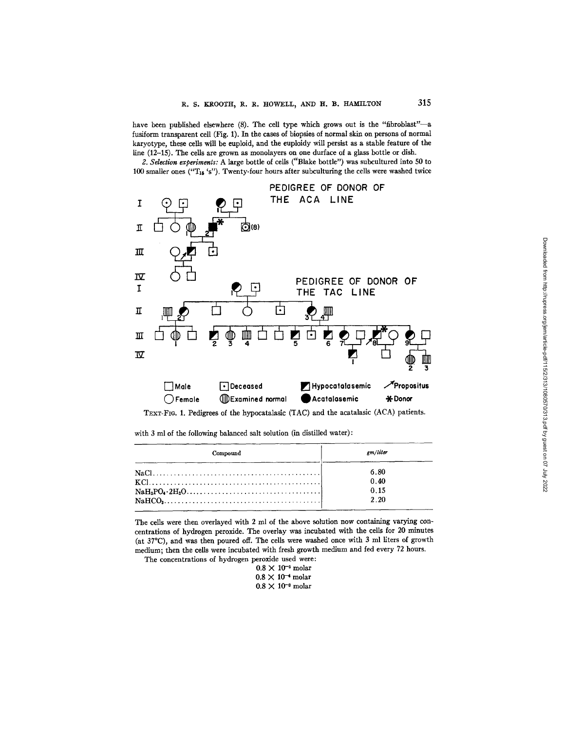have been published elsewhere (8). The cell type which grows out is the "fibroblast"--a fusiform transparent cell (Fig. 1). In the cases of biopsies of normal skin on persons of normal karyotype, these cells will be euploid, and the euploidy will persist as a stable feature of the line (12-15). The cells are grown as monolayers on one durface of a glass bottle or dish.

*2. Selection experiments:* A large bottle of cells *("Blake* bottle") was subcultured into 50 to 100 smaller ones *("T16* %'). Twenty-four hours after subculturing the cells were washed twice



TExT-FIO. 1. Pedigrees of the hypocatalasic (TAC) and the acatalasic (ACA) patients.

with 3 ml of the following balanced salt solution (in distilled water):

| Compound                                                                                  | gm/liter |  |
|-------------------------------------------------------------------------------------------|----------|--|
|                                                                                           | 6.80     |  |
|                                                                                           | 0.40     |  |
| $NaH_2PO_4 \cdot 2H_2O \dots \dots \dots \dots \dots \dots \dots \dots \dots \dots \dots$ | 0.15     |  |
| $NaHCO3, \ldots, \ldots, \ldots, \ldots, \ldots, \ldots, \ldots, \ldots, \ldots, \ldots$  | 2.20     |  |

The cells were then overlayed with 2 ml of the above solution now containing varying concentrations of hydrogen peroxide. The overlay was incubated with the cells for 20 minutes (at 37°C), and was then poured off. The cells were washed once with 3 ml liters of growth medium; then the cells were incubated with fresh growth medium and fed every 72 hours.

The concentrations of hydrogen peroxide used were:

|  | $0.8 \times 10^{-5}$ molar |
|--|----------------------------|
|  | $0.8 \times 10^{-4}$ molar |

 $0.8 \times 10^{-3}$  molar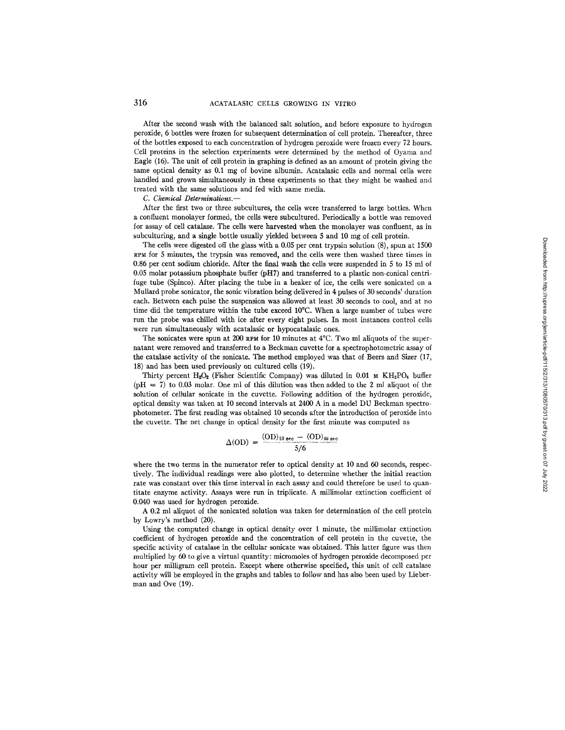After the second wash with the balanced salt solution, and before exposure to hydrogen peroxide, 6 bottles were frozen for subsequent determination of cell protein. Thereafter, three of the bottles exposed to each concentration of hydrogen peroxide were frozen every 72 hours. Cell proteins in the selection experiments were determined by the method of Oyama and Eagle (16). The unit of cell protein in graphing is defined as an amount of protein giving the same optical density as 0.1 mg of bovine albumin. Acatalasic cells and normal cells were handled and grown simultaneously in these experiments so that they might be washed anti treated with the same solutions and fed with same media.

*C. Chemical Determinations.-* 

After the first two or three subcultures, the cells were transferred to large bottles. When a confluent monolayer formed, the cells were subcultured. Periodically a bottle was removed for assay of cell cataiase. The cells were harvested when the monolayer was confluent, as in subculturing, and a single bottle usually yielded between 5 and i0 mg of cell protein.

The cells were digested off the glass with a 0.05 per cent trypsin solution (8), spun at 1500 RPM for 5 minutes, the trypsin was removed, and the cells were then washed three times in 0.86 per cent sodium chloride. After the final wash the cells were suspended in 5 to 15 ml of 0.05 molar potassium phosphate buffer (pHT) and transferred to a plastic non-conical centrifuge tube (Spinco). After placing the tube in a beaker of ice, the cells were sonicated on a Mullard probe sonicator, the sonic vibration being delivered in 4 pulses of 30 seconds' duration each. Between each pulse the suspension was allowed at least 30 seconds to cool, and at no time did the temperature within the tube exceed 10°C. When a large number of tubes were run the probe was chilled with ice after every eight pulses. In most instances control cells were run simultaneously with acatalasic or hypocatalasic ones.

The sonicates were spun at 200 RPM for 10 minutes at  $4^{\circ}$ C. Two ml aliquots of the supernatant were removed and transferred to a Beckman cuvette for a spectrophotometric assay of the cataiase activity of the sonicate. The method employed was that of Beers and Sizer (17, 18) and has been used previously on cultured cells (19).

Thirty percent  $H_2O_2$  (Fisher Scientific Company) was diluted in 0.01 M KH<sub>2</sub>PO<sub>4</sub> buffer  $(pH = 7)$  to 0.03 molar. One ml of this dilution was then added to the 2 ml aliquot of the solution of cellular sonicate in the cuvette. Following addition of the hydrogen peroxide, optical density was taken at 10 second intervals at 2400 A in a model DU Beckman spectrophotometer. The first reading was obtained 10 seconds after the introduction of peroxide into the cuvette. The net change in optical density for the first minute was computed as

$$
\Delta \text{(OD)} = \frac{(\text{OD})_{10 \text{ sec}} - (\text{OD})_{60 \text{ sec}}}{5/6}
$$

where the two terms in the numerator refer to optical density at 10 and 60 seconds, respectively. The individual readings were also plotted, to determine whether the initial reaction rate was constant over this time interval in each assay and could therefore be used to quantitate enzyme activity. Assays were run in triplicate. A millimolar extinction coefficient of 0.040 was used for hydrogen peroxide.

A 0.2 ml aliquot of the sonicated solution was taken for determination of the cell protein by Lowry's method (20).

Using the computed change in optical density over 1 minute, the millimolar extinction coefficient of hydrogen peroxide and the concentration of cell protein in the cuvette, the specific activity of catalase in the cellular sonicate was obtained. This latter figure was then multiplied by 60 to give a virtual quantity: micromoles of hydrogen peroxide decomposed per hour per milligram cell protein. Except where otherwise specified, this unit of cell catalase activity will be employed in the graphs and tables to follow and has also been used by Lieberman and Ove (19).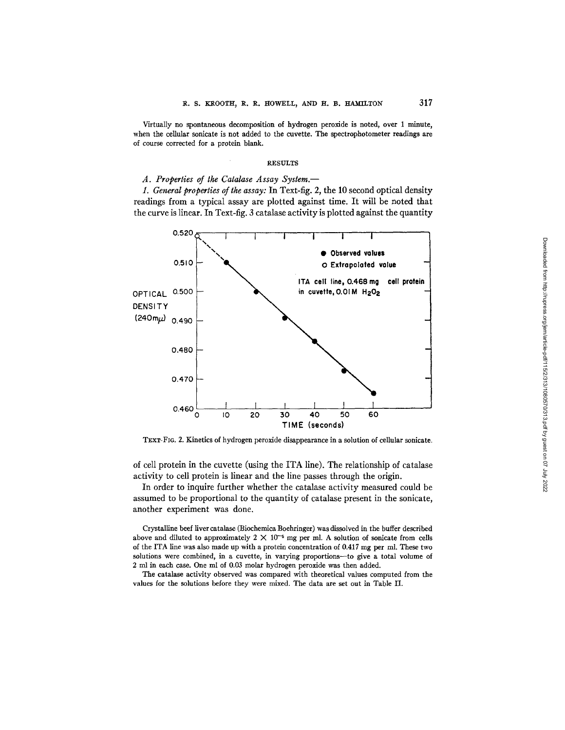Virtually no spontaneous decomposition of hydrogen peroxide is noted, over 1 minute, when the cellular sonicate is not added to the cuvette. The spectrophotometer readings are of course corrected for a protein blank.

#### RESULTS

# *A. Properties of the Catalase Assay System.--*

*1. General properties of the assay: In* Text-fig. 2, the 10 second optical density readings from a typical assay are plotted against time. It will be noted that the curve is linear. In Text-fig. 3 catalase activity is plotted against the quantity



TExT-FIG. 2. Kinetics of hydrogen peroxide disappearance in a solution of cellular sonicate.

of cell protein in the cuvette (using the ITA line). The relationship of catalase activity to cell protein is linear and the line passes through the origin.

In order to inquire further whether the catalase activity measured could be assumed to be proportional to the quantity of catalase present in the sonicate, another experiment was done.

Crystalline beef liver catalase (Biochemica Boehringer) was dissolved in the buffer described above and diluted to approximately  $2 \times 10^{-5}$  mg per ml. A solution of sonicate from cells of the ITA line was also made up with a protein concentration of 0.417 mg per ml. These two solutions were combined, in a cuvette, in varying proportions--to give a total volume of 2 ml in each case. One ml of 0.03 molar hydrogen peroxide was then added.

The catalase activity observed was compared with theoretical values computed from the values for the solutions before they were mixed. The data are set out in Table II.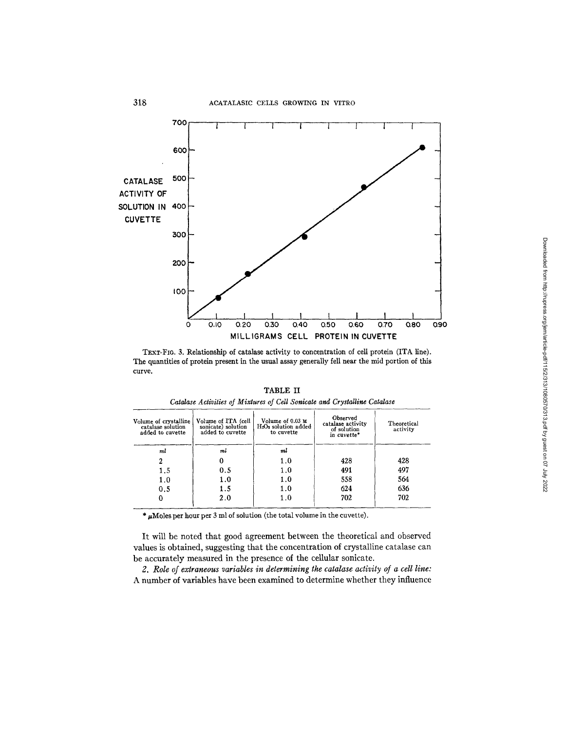

TEXT-FIG. 3. Relationship of catalase activity to concentration of cell protein (ITA line). The quantities of protein present in the usual assay generally fell near the mid portion of this curve.

| Catalase Activities of Mixtures of Cell Sonicate and Crystalline Catalase |                                                               |                                                           |                                                             |                         |  |  |  |  |
|---------------------------------------------------------------------------|---------------------------------------------------------------|-----------------------------------------------------------|-------------------------------------------------------------|-------------------------|--|--|--|--|
| Volume of crystalline<br>catalase solution<br>added to cuvette            | Volume of ITA (cell<br>sonicate) solution<br>added to cuvette | Volume of 0.03 M<br>$H_2O_2$ solution added<br>to cuvette | Observed<br>catalase activity<br>of solution<br>in cuvette* | Theoretical<br>activity |  |  |  |  |
| m                                                                         | m                                                             | m                                                         |                                                             |                         |  |  |  |  |

TABLE II

1.0 1.0 1.0 1.0 1.0

|  |  |  |  |  |  | * $\mu$ Moles per hour per 3 ml of solution (the total volume in the cuvette). |
|--|--|--|--|--|--|--------------------------------------------------------------------------------|
|--|--|--|--|--|--|--------------------------------------------------------------------------------|

2 0 1.5 0.5 **1.0 1.0**  0.5 1.5  $0 \t 2.0$ 

It will be noted that good agreement between the theoretical and observed values is obtained, suggesting that the concentration of crystalline catalase can be accurately measured in the presence of the cellular sonicate.

*2. Role of extraneous variables in determining the catalase activity of a cell line:*  A number of variables have been examined to determine whether they influence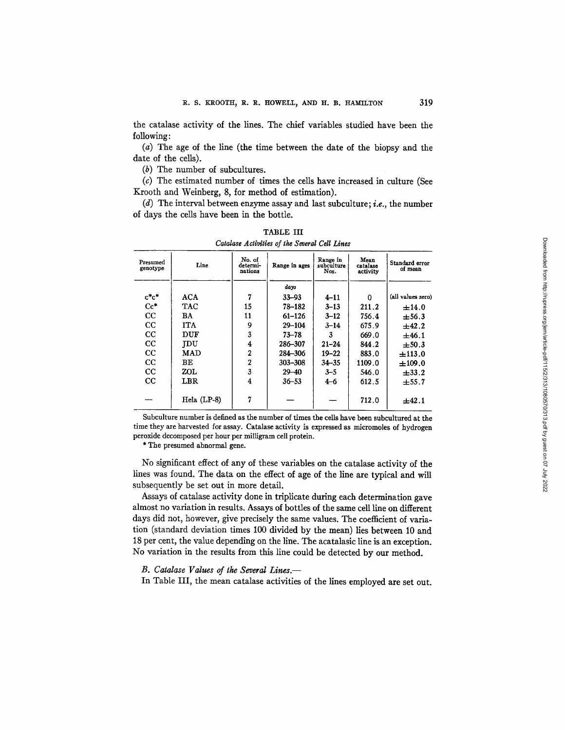the catalase activity of the lines. The chief variables studied have been the following:

(a) The age of the line (the time between the date of the biopsy and the date of the cells).

(b) The number of subcultures.

(c) The estimated number of times the cells have increased in culture (See Krooth and Weinberg, 8, for method of estimation).

(d) The interval between enzyme assay and last subculture; *i.e.,* the number of days the cells have been in the bottle.

| Presumed<br>genotype | Line        | No. of<br>determi-<br>nations | Range in ages | Range in<br>subculture<br>Nos. | Mean<br>catalase<br>activity | Standard error<br>of mean |
|----------------------|-------------|-------------------------------|---------------|--------------------------------|------------------------------|---------------------------|
|                      |             |                               | days          |                                |                              |                           |
| $c^*c^*$             | <b>ACA</b>  | 7                             | $33 - 93$     | $4 - 11$                       | 0                            | (all values zero)         |
| $Cc^*$               | TAC         | 15                            | 78–182        | $3 - 13$                       | 211.2                        | $\pm 14.0$                |
| cc                   | BA          | 11                            | $61 - 126$    | $3 - 12$                       | 756.4                        | $\pm 56.3$                |
| CC                   | <b>ITA</b>  | 9                             | $29 - 104$    | $3 - 14$                       | 675.9                        | $\pm 42.2$                |
| cc                   | <b>DUF</b>  | 3                             | $73 - 78$     | 3                              | 669.0                        | ±46.1                     |
| cc                   | <b>IDU</b>  | 4                             | 286-307       | $21 - 24$                      | 844.2                        | $\pm 50.3$                |
| cc                   | MAD         | $\mathbf{2}$                  | 284-306       | $19 - 22$                      | 883.0                        | ±113.0                    |
| cc                   | BЕ          | $\overline{2}$                | $303 - 308$   | $34 - 35$                      | 1109.0                       | $\pm 109.0$               |
| cc                   | ZOL         | 3                             | $29 - 40$     | $3 - 5$                        | 546.0                        | $\pm 33.2$                |
| cc                   | LBR         | 4                             | $36 - 53$     | $4 - 6$                        | 612.5                        | ±55.7                     |
|                      | Hela (LP-8) | 7                             |               |                                | 712.0                        | ±42.1                     |

TABLE III *Catalase Activities of the Several Cell Lines* 

Subculture number is defined **as** the number of times the cells have been subcultured **at the**  time they are harvested for assay. Catalase activity is expressed as micromoles of hydrogen peroxide decomposed per hour per milligram cell protein.

\* The presumed abnormal gene.

No significant effect of any of these variables on the catalase activity of the lines was found. The data on the effect of age of the line are typical and will subsequently be set out in more detail.

Assays of catalase activity done in triplicate during each determination gave almost no variation in results. Assays of bottles of the same cell line on different days did not, however, give precisely the same values. The coefficient of variation (standard deviation times 100 divided by the mean) lies between l0 and 18 per cent, the value depending on the line. The acatalasic line is an exception. No variation in the results from this line could be detected by our method.

*B. Catalase Values of the Several Lines.-* 

In Table III, the mean catalase activities of the lines employed are set out.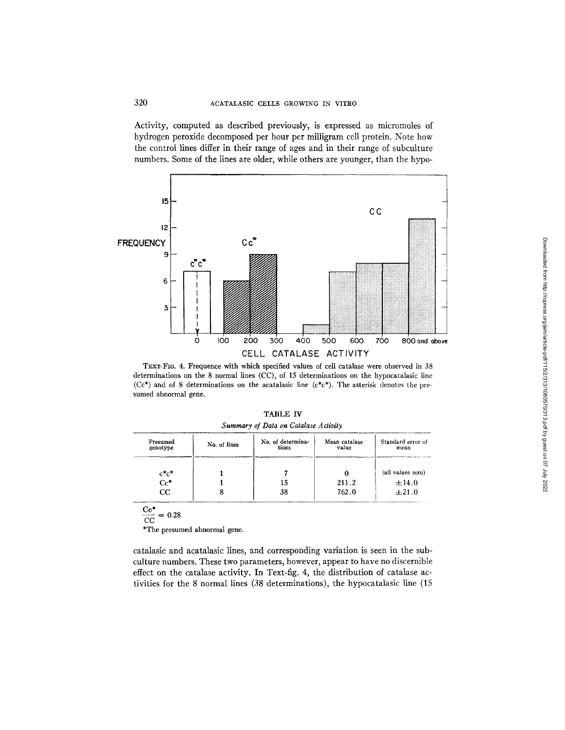**Activity, computed as described previously, is expressed as micromoles of hydrogen peroxide decomposed per hour per milligram cell protein. Note how the control lines differ in their range of ages and in their range of subculture numbers. Some of the lines are older, while others are younger, than the hypo-**



TEXT-FIG. 4. Frequence with which specified values of cell catalase were observed in 38 **determinations on the 8 normal lines (CC), of 15 determinations on the hypocatalasic line (Cc\*) and of 8 determinations on the acatalasic line (c'c\*). The asterisk denotes the presumed abnormal gene.** 

| Summary of Data on Catalase Activity |                            |                        |                           |  |  |  |  |
|--------------------------------------|----------------------------|------------------------|---------------------------|--|--|--|--|
| No. of lines                         | No. of determina-<br>tions | Mean catalase<br>value | Standard error of<br>mean |  |  |  |  |
|                                      |                            |                        | (all values zero)         |  |  |  |  |
|                                      | 15                         | 211.2                  | $\pm 14.0$                |  |  |  |  |
|                                      | 38                         | 762.0                  | $\pm 21.0$                |  |  |  |  |
|                                      |                            |                        |                           |  |  |  |  |

**TABLE IV**  *of Data on Catalase Activity* 

 $\frac{OC}{CC} = 0.28$ 

**\*The presumed abnormal gene.** 

**catalasic and acatalasic lines, and corresponding variation is seen in the subculture numbers. These two parameters, however, appear to have no discernible effect on the catalase activity. In Text-fig. 4, the distribution of catalase activities for the 8 normal lines (38 determinations), the hypocatalasic line (15**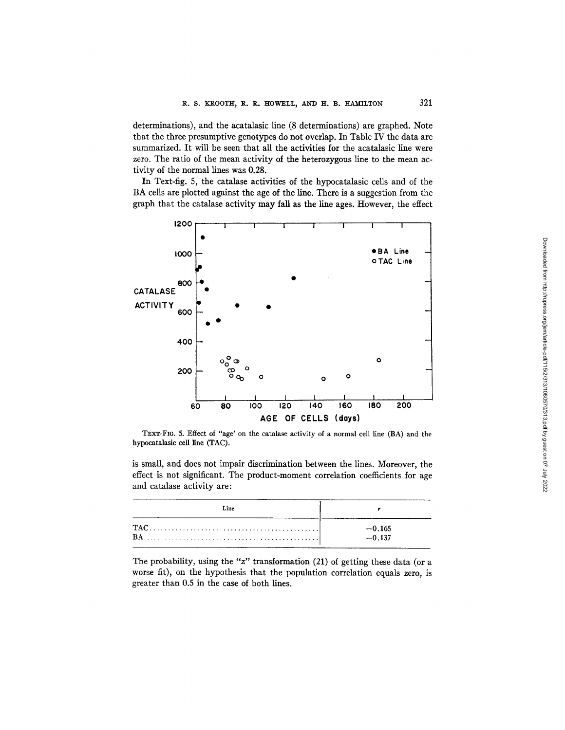determinations), and the acatalasic line (8 determinations) are graphed. Note that the three presumptive genotypes do not overlap. In Table IV the data are summarized. It will be seen that all the activities for the acatalasic line were zero. The ratio of the mean activity of the heterozygous line to the mean activity of the normal lines was 0.28.

In Text-fig. 5, the catalase activities of the hypocatalasic cells and of the BA cells are plotted against the age of the line. There is a suggestion from the graph that the catalase activity may fall as the line ages. However, the effect



TEXT-FIG. 5. Effect of "age' on the catalase activity of a normal cell line (BA) and the hypocatalasic cell line (TAC).

is small, and does not impair discrimination between the lines. Moreover, the effect is not significant. The product-moment correlation coefficients for age and catalase activity are:

| Line |                      |
|------|----------------------|
| BA.  | $-0.165$<br>$-0.137$ |

The probability, using the *"z"* transformation (21) of getting these data (or a worse fit), on the hypothesis that the population correlation equals zero, is greater than 0.5 in the case of both lines.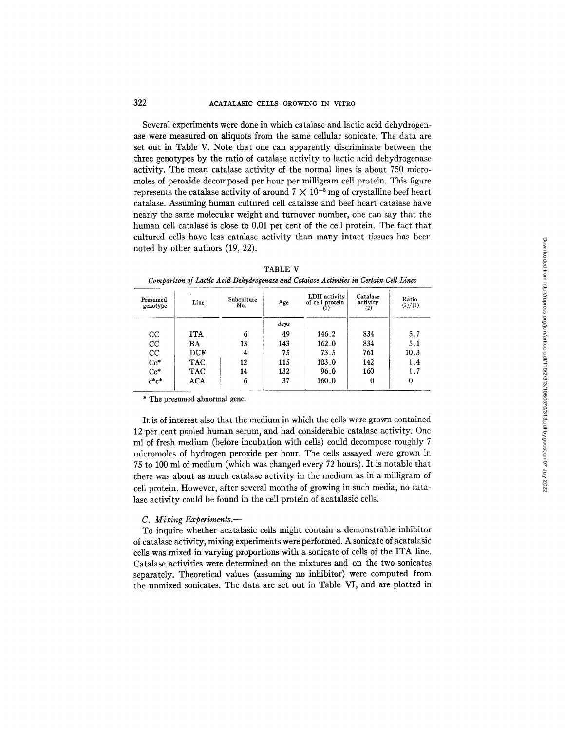Several experiments were done in which catalase and lactic acid dehydrogenase were measured on aliquots from the same cellular sonicate. The data are set out in Table V. Note that one can apparently discriminate between the three genotypes by the ratio of catalase activity to lactic acid dehydrogenase activity. The mean catalase activity of the normal lines is about 750 micromoles of peroxide decomposed per hour per milligram cell protein. This figure represents the catalase activity of around  $7 \times 10^{-5}$  mg of crystalline beef heart catalase. Assuming human cultured cell catalase and beef heart catalase have nearly the same molecular weight and turnover number, one can say that the human cell catalase is close to 0.01 per cent of the cell protein. The fact that cultured cells have less catalase activity than many intact tissues has been noted by other authors (19, 22).

| Presumed<br>genotype | Line         | Subculture<br>No. | Age  | LDH activity<br>of cell protein | Catalase<br>activity<br>$\left( 2\right)$ | Ratio<br>(2)/(1) |
|----------------------|--------------|-------------------|------|---------------------------------|-------------------------------------------|------------------|
|                      |              |                   | days |                                 |                                           |                  |
| $_{\rm CC}$          | <b>ITA</b>   | 6                 | 49   | 146.2                           | 834                                       | 5.7              |
| CC                   | ΒA           | 13                | 143  | 162.0                           | 834                                       | 5.1              |
| $_{\rm CC}$          | $_{\rm DUF}$ | 4                 | 75   | 73.5                            | 761                                       | 10.3             |
| $Cc^*$               | <b>TAC</b>   | 12                | 115  | 103.0                           | 142                                       | 1.4              |
| $Cc^*$<br>$c^*c^*$   | <b>TAC</b>   | 14                | 132  | 96.0                            | 160                                       | 1.7              |
|                      | ACA          | 6                 | 37   | 160.0                           | 0                                         | 0                |
|                      |              |                   |      |                                 |                                           |                  |

TABLE V *Comparison of Lactic Acid Dehydrogenase and Catalase Activities in Certain Cell Lines* 

\* The presumed abnormal gene.

It is of interest also that the medium in which the cells were grown contained 12 per cent pooled human serum, and had considerable catalase activity. One ml of fresh medium (before incubation with cells) could decompose roughly 7 micromoles of hydrogen peroxide per hour. The cells assayed were grown in 75 to 100 ml of medium (which was changed every 72 hours). It is notable that there was about as much catalase activity in the medium as in a milligram of cell protein. However, after several months of growing in such media, no catalase activity could be found in the cell protein of acatalasic cells.

### *C. Mixing Experiments.-*

To inquire whether acatalasic cells might contain a demonstrable inhibitor of catalase activity, mixing experiments were performed. A sonicate of acatalasic cells was mixed in varying proportions with a sonicate of cells of the ITA line. Catalase activities were determined on the mixtures and on the two sonicates separately. Theoretical values (assuming no inhibitor) were computed from the unmixed sonicates. The data are set out in Table VI, and are plotted in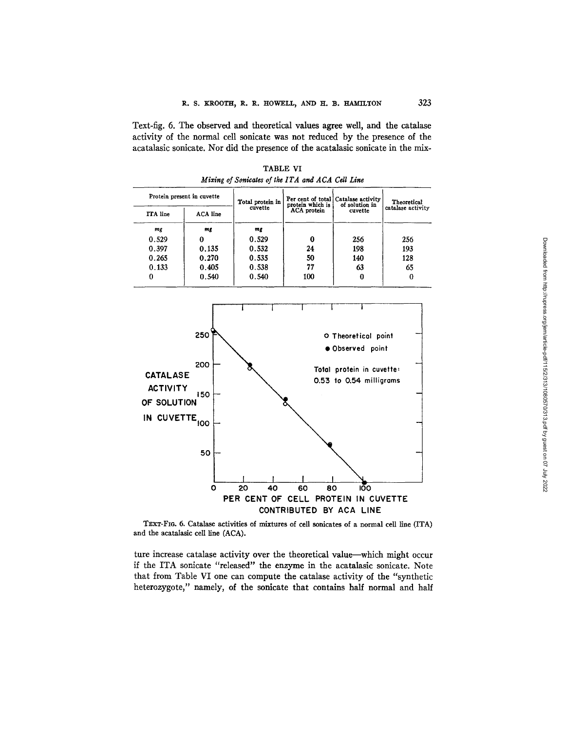Text-fig. 6. The observed and theoretical values agree well, and the catalase activity of the normal cell sonicate was not reduced by the presence of the acatalasic sonicate. Nor did the presence of the acatalasic sonicate in the mix-

| Protein present in cuvette |          | Total protein in | protein which is   | Per cent of total Catalase activity<br>of solution in | Theoretical       |
|----------------------------|----------|------------------|--------------------|-------------------------------------------------------|-------------------|
| ITA line                   | ACA line | cuvette          | <b>ACA</b> protein | cuvette                                               | catalase activity |
| mg                         | mt       | mg               |                    |                                                       |                   |
| 0.529                      |          | 0.529            | 0                  | 256                                                   | 256               |
| 0.397                      | 0.135    | 0.532            | 24                 | 198                                                   | 193               |
| 0.265                      | 0.270    | 0.535            | 50                 | 140                                                   | 128               |
| 0.133                      | 0.405    | 0.538            | 77                 | 63                                                    | 65                |
| 0                          | 0.540    | 0.540            | 100                |                                                       |                   |

TABLE VI *Mixing of Sonicates of the ITA and ACA Cell Line* 



TEXT-FIG. 6. Catalase activities of mixtures of cell sonicates of a normal cell line (ITA) and the acatalasic cell line (ACA).

ture increase catalase activity over the theoretical value—which might occur if the ITA sonicate "released" the enzyme in the acatalasic sonicate. Note that from Table VI one can compute the catalase activity of the "synthetic heterozygote," namely, of the sonicate that contains half normal and half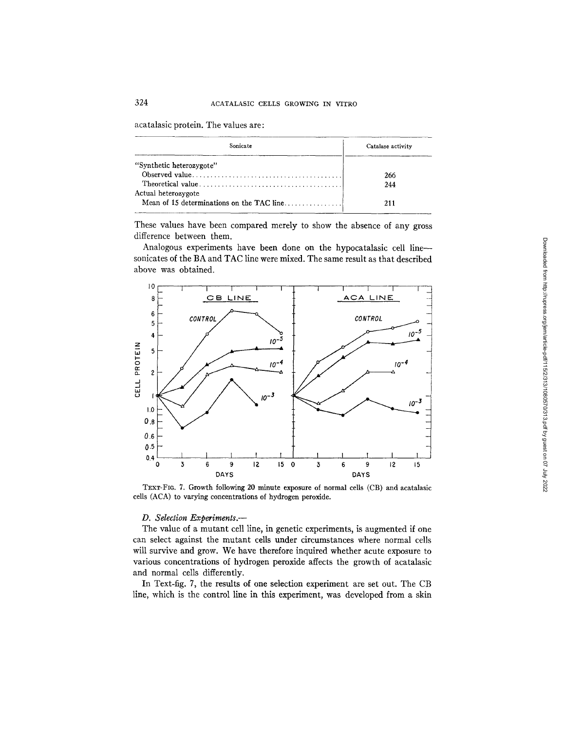acatalasic protein. The values are:

| Sonicate                                  | Catalase activity |
|-------------------------------------------|-------------------|
| "Synthetic heterozygote"                  |                   |
|                                           | 266               |
|                                           | 244               |
| Actual heterozygote                       |                   |
| Mean of 15 determinations on the TAC line | 211               |

These values have been compared merely to show the absence of any gross difference between them.

Analogous experiments have been done on the hypocatalasic cell line- sonicates of the BA and TAC line were mixed. The same result as that described above was obtained.



TExT-FIe. 7. Growth following 20 minute exposure of normal cells (CB) and acatalasic cells (ACA) to varying concentrations of hydrogen peroxide.

## *D. Selection Experiments.-*

The value of a mutant cell line, in genetic experiments, is augmented if one can select against the mutant cells under circumstances where normal cells will survive and grow. We have therefore inquired whether acute exposure to various concentrations of hydrogen peroxide affects the growth of acatalasic and normal cells differently.

In Text-fig. 7, the results of one selection experiment are set out. The CB line, which is the control line in this experiment, was developed from a skin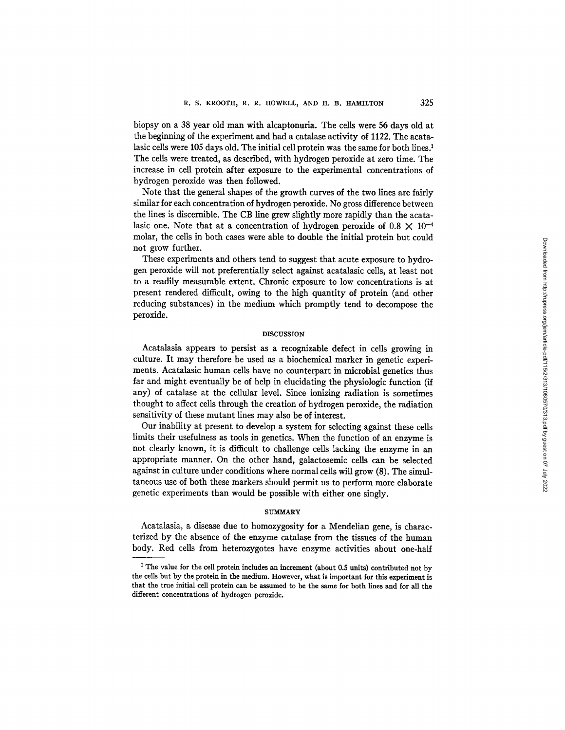biopsy on a 38 year old man with alcaptonuria. The cells were 56 days old at the beginning of the experiment and had a catalase activity of 1122. The acatalasic cells were 105 days old. The initial cell protein was the same for both lines. 1 The cells were treated, as described, with hydrogen peroxide at zero time. The increase in cell protein after exposure to the experimental concentrations of hydrogen peroxide was then followed.

Note that the general shapes of the growth curves of the two lines are fairly similar for each concentration of hydrogen peroxide. No gross difference between the lines is discernible. The CB line grew slightly more rapidly than the acatalasic one. Note that at a concentration of hydrogen peroxide of  $0.8 \times 10^{-4}$ molar, the cells in both cases were able to double the initial protein but could not grow further.

These experiments and others tend to suggest that acute exposure to hydrogen peroxide will not preferentially select against acatalasic cells, at least not to a readily measurable extent. Chronic exposure to low concentrations is at present rendered difficult, owing to the high quantity of protein (and other reducing substances) in the medium which promptly tend to decompose the peroxide.

# DISCUSSION

Acatalasia appears to persist as a recognizable defect in cells growing in culture. It may therefore be used as a biochemical marker in genetic experiments. Acatalasic human cells have no counterpart in microbial genetics thus far and might eventually be of help in elucidating the physiologic function (if any) of catalase at the cellular level. Since ionizing radiation is sometimes thought to affect cells through the creation of hydrogen peroxide, the radiation sensitivity of these mutant lines may also be of interest.

Our inability at present to develop a system for selecting against these cells limits their usefulness as tools in genetics. When the function of an enzyme is not clearly known, it is difficult to challenge cells lacking the enzyme in an appropriate manner. On the other hand, galactosemic cells can be selected against in culture under conditions where normal cells will grow (8). The simultaneous use of both these markers should permit us to perform more elaborate genetic experiments than would be possible with either one singly.

## **SUMMARY**

Acatalasia, a disease due to homozygosity for a Mendelian gene, is characterized by the absence of the enzyme catalase from the tissues of the human body. Red cells from heterozygotes have enzyme activities about one-half

<sup>&</sup>lt;sup>1</sup> The value for the cell protein includes an increment (about 0.5 units) contributed not by the cells but by the protein in the medium. However, what is important for this experiment is that the true initial cell protein can be assumed to be the same for both lines and for all the different concentrations of hydrogen peroxide.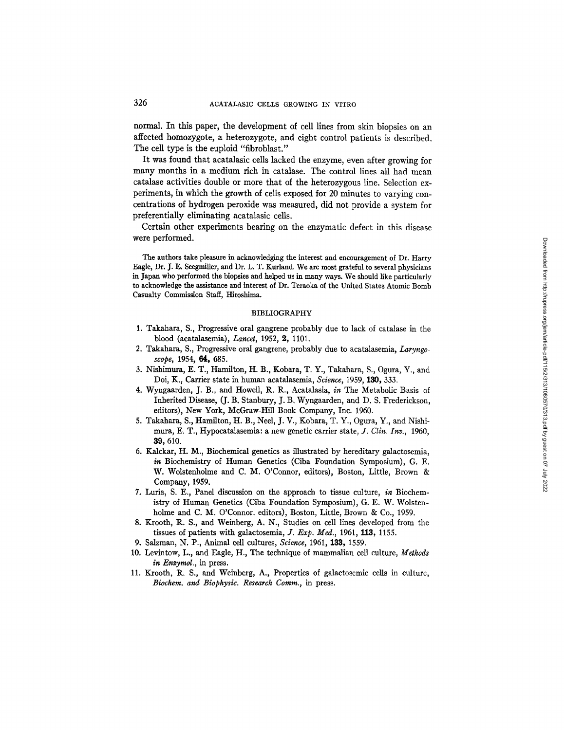normal. In this paper, the development of cell lines from skin biopsies on an affected homozygote, a heterozygote, and eight control patients is described. The cell type is the euploid *"fibroblast."* 

It was found that acatalasic cells lacked the enzyme, even after growing for many months in a medium rich in catalase. The control lines all had mean catalase activities double or more that of the heterozygous line. Selection experiments, in which the growth of cells exposed for 20 minutes to varying concentrations of hydrogen peroxide was measured, did not provide a system for preferentially eliminating acatalasic cells.

Certain other experiments bearing on the enzymatic defect in this disease were performed.

**The** authors take pleasure in acknowledging the interest and encouragement of Dr. Harry Eagle, Dr. J. E. Seegmiller, and Dr. L. T. Kurland. We are most grateful to several physicians in Japan who performed the biopsies and helped us in many ways. We should like particularly to acknowledge the assistance and interest of Dr. Teraoka of the United States Atomic Bomb Casualty Commission Staff, Hiroshima.

## BIBLIOGRAPHY

- 1. Takahara, S., Progressive oral gangrene probably due to lack of catalase in the blood (acatalasemia), *Lancet,* 1952, 9., 1101.
- 2. Takahara, S., Progressive oral gangrene, probably due to acatalasemia, *Laryngoscope,* 1954, 64, 685.
- 3. Nishimura, E. T., Hamilton, H. B., Kobara, T. Y., Takahara, S., Ogura, Y., and Doi, K., Carrier state in human acatalazemia, *Science,* 1959, 130, 333.
- 4. Wyngaarden, J. B., and Howell, R. R., Acatalasia, *in* The Metabolic Basis of Inherited Disease, (J. B. Stanbury, J. B. Wyngaarden, and D. S. Frederickson, editors), New York, McGraw-Hill Book Company, Inc. 1960.
- 5. Takahara, S., Hamilton, H. B., Neel, J. V., Kobara, T. Y., Ogura, Y., and Nishimura, E. T., Hypocatalasemia: a new genetic carrier state, *J. Clin. Inv.,* 1960, **39,** 610.
- 6. Kalckar, H. M., Biochemical genetics as illustrated by hereditary galactosemia, in Biochemistry of Human Genetics (Ciba Foundation Symposium), G. E. W. Wolstenholme and C. M. O'Connor, editors), Boston, Little, Brown & Company, 1959.
- 7. Luria, S. E., Panel discussion on the approach to tissue culture, *in* Biochemistry of Human Genetics (Ciba Foundation Symposium), G. E. W. Wolstenholme and C. M. O'Connor. editors), Boston, Little, Brown & Co., 1959.
- 8. Krooth, R. S., and Weinberg, A. N., Studies on cell lines developed from the tissues of patients with galactosemia, *J. Exp. Med.,* 1961, 113, 1155.
- 9. Salzman, N. P., Animal cell cultures, *Science,* 1961, 133, 1559.
- 10. Levintow, *L.,* and Eagle, H., The technique of mammalian cell culture, *Methods in Enzymal., in* press.
- 11. Krooth, R. S., and Weinberg, A., Properties of galactosemic cells in culture, *Biochem. and Biophysic. Research Comm., in* press.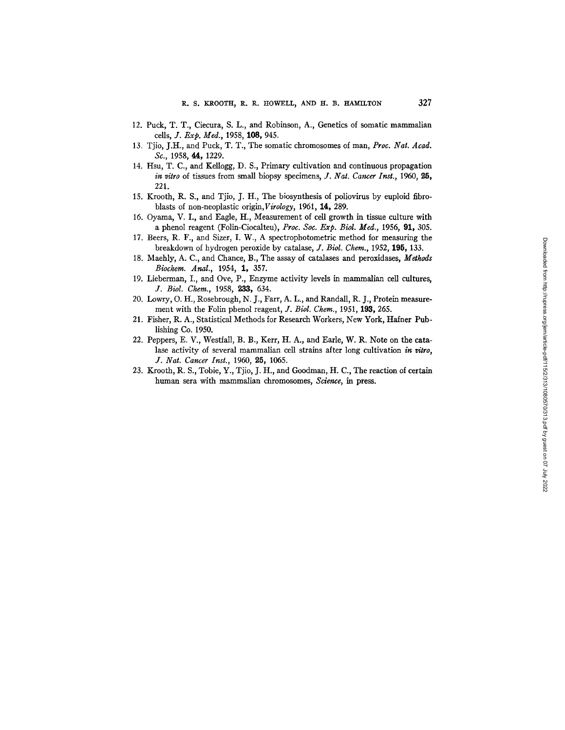- 12. Puck, T. T., Ciecura, S. L., and Robinson, A., Genetics of somatic mammalian cells, *J. Exp. Meal.,* 1958, 108, 945.
- 13. Tjio, J.I-I., and Puck, T. T., The somatic chromosomes of man, *Proe. Nat. Aead. Se.,* 1958, 44, 1229.
- 14. Hsu, T. C., and Kellogg, D. S., Primary cultivation and continuous propagation *in vitro* of tissues from small biopsy specimens, *J. Nat. Cancer Inst.*, 1960, 25, 221.
- 15. Krooth, R. S., and Tjio, J. H., The biosynthesis of poliovirus by euploid fibroblasts of non-neoplastic *origin, Virology,* 1961, 14, 289.
- 16. Oyama, V. I., and Eagle, H., Measurement of cell growth in tissue culture with a phenol reagent (Folin-Ciocalteu), *Proc. Soc. Exp. Biol. Med.,* 1956, 91, 305.
- 17. Beers, R. F., and Sizer, I. W., A spectrophotometric method for measuring the breakdown of hydrogen peroxide by catalase, *J. Biol. Chem.,* 1952, 195, 133.
- 18. Maehly, A. C., and Chance, B., The assay of catalases and peroxidases, *Methods Biochem. Anal.,* 1954, 1, 357.
- 19. Lieberman, I., and Ove, P., Enzyme activity levels in mammalian cell cultures, *J. Biol. Chem.,* 1958, 233, 634.
- 20. Lowry, O. H., Rosebrough, N. ]., Farr, A. L., and Randall, R. J., Protein measurement with the Folin phenol reagent, *J. Biol. Chem.,* 1951, 193, 265.
- 21. Fisher, R. A., Statistical Methods for Research Workers, New York, tiafner Publishing Co. 1950.
- 22. Peppers, E. V., Westfall, B. B., Kerr, H. A., and Earle, W. R. Note on the catalase activity of several mammalian cell strains after long cultivation *in vitro, J. Nat. Cancer Inst.*, 1960, 25, 1065.
- 23. Krooth, R. S., Tobie, Y., Tjio, J. H., and Goodman, H. C., The reaction of certain human sera with mammalian chromosomes, *Science, in* press.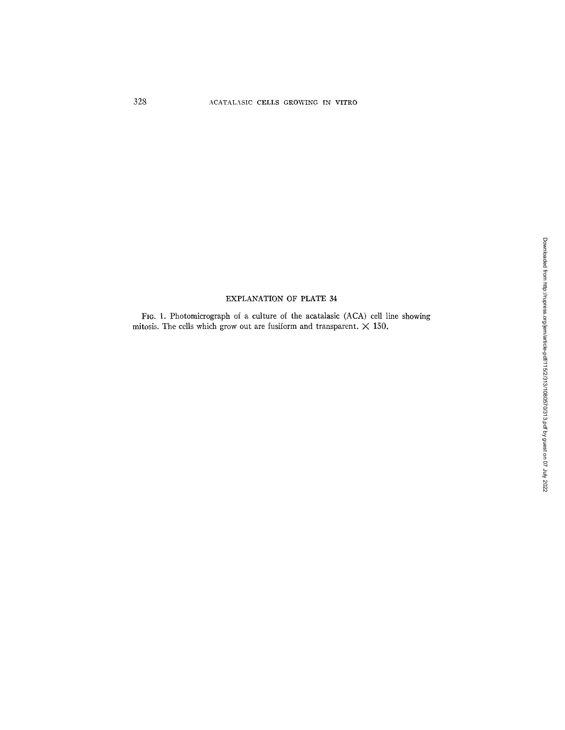# EXPLANATION OF PLATE 34

FIG. 1. Photomicrograph of a culture of the acatalasic (ACA) cell line showing mitosis. The cells which grow out are fusiform and transparent.  $\times$  150.